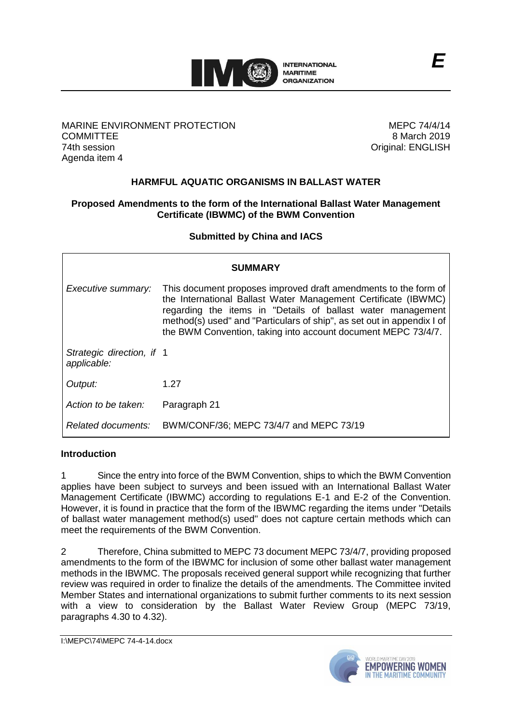

## MARINE ENVIRONMENT PROTECTION **COMMITTEE** 74th session Agenda item 4

MEPC 74/4/14 8 March 2019 Original: ENGLISH

# **HARMFUL AQUATIC ORGANISMS IN BALLAST WATER**

## **Proposed Amendments to the form of the International Ballast Water Management Certificate (IBWMC) of the BWM Convention**

**Submitted by China and IACS**

| SUMMARY                                  |                                                                                                                                                                                                                                                                                                                                             |  |
|------------------------------------------|---------------------------------------------------------------------------------------------------------------------------------------------------------------------------------------------------------------------------------------------------------------------------------------------------------------------------------------------|--|
| Executive summary:                       | This document proposes improved draft amendments to the form of<br>the International Ballast Water Management Certificate (IBWMC)<br>regarding the items in "Details of ballast water management<br>method(s) used" and "Particulars of ship", as set out in appendix I of<br>the BWM Convention, taking into account document MEPC 73/4/7. |  |
| Strategic direction, if 1<br>applicable: |                                                                                                                                                                                                                                                                                                                                             |  |
| Output:                                  | 1.27                                                                                                                                                                                                                                                                                                                                        |  |
| Action to be taken:                      | Paragraph 21                                                                                                                                                                                                                                                                                                                                |  |
| Related documents:                       | BWM/CONF/36; MEPC 73/4/7 and MEPC 73/19                                                                                                                                                                                                                                                                                                     |  |

## **Introduction**

1 Since the entry into force of the BWM Convention, ships to which the BWM Convention applies have been subject to surveys and been issued with an International Ballast Water Management Certificate (IBWMC) according to regulations E-1 and E-2 of the Convention. However, it is found in practice that the form of the IBWMC regarding the items under "Details of ballast water management method(s) used" does not capture certain methods which can meet the requirements of the BWM Convention.

2 Therefore, China submitted to MEPC 73 document MEPC 73/4/7, providing proposed amendments to the form of the IBWMC for inclusion of some other ballast water management methods in the IBWMC. The proposals received general support while recognizing that further review was required in order to finalize the details of the amendments. The Committee invited Member States and international organizations to submit further comments to its next session with a view to consideration by the Ballast Water Review Group (MEPC 73/19, paragraphs 4.30 to 4.32).

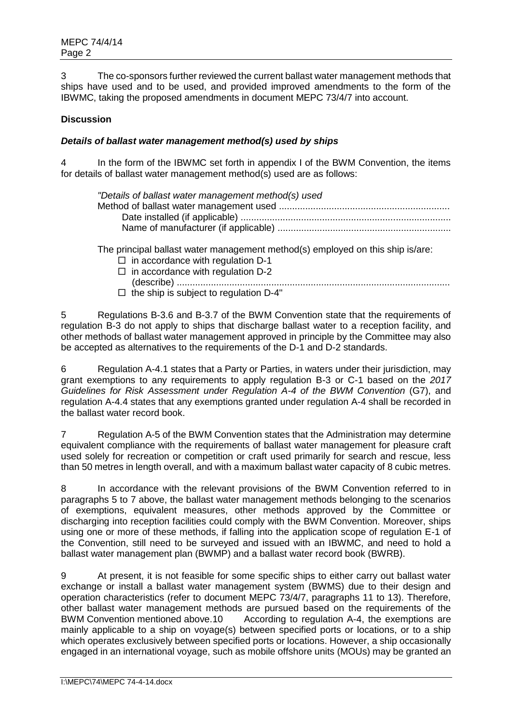3 The co-sponsors further reviewed the current ballast water management methods that ships have used and to be used, and provided improved amendments to the form of the IBWMC, taking the proposed amendments in document MEPC 73/4/7 into account.

## **Discussion**

## *Details of ballast water management method(s) used by ships*

4 In the form of the IBWMC set forth in appendix I of the BWM Convention, the items for details of ballast water management method(s) used are as follows:

| "Details of ballast water management method(s) used |  |
|-----------------------------------------------------|--|
|                                                     |  |
|                                                     |  |
|                                                     |  |
|                                                     |  |

The principal ballast water management method(s) employed on this ship is/are:

- $\Box$  in accordance with regulation D-1  $\Box$  in accordance with regulation D-2
- (describe) ........................................................................................................
- $\Box$  the ship is subject to regulation D-4"

5 Regulations B-3.6 and B-3.7 of the BWM Convention state that the requirements of regulation B-3 do not apply to ships that discharge ballast water to a reception facility, and other methods of ballast water management approved in principle by the Committee may also be accepted as alternatives to the requirements of the D-1 and D-2 standards.

6 Regulation A-4.1 states that a Party or Parties, in waters under their jurisdiction, may grant exemptions to any requirements to apply regulation B-3 or C-1 based on the *2017 Guidelines for Risk Assessment under Regulation A-4 of the BWM Convention* (G7), and regulation A-4.4 states that any exemptions granted under regulation A-4 shall be recorded in the ballast water record book.

7 Regulation A-5 of the BWM Convention states that the Administration may determine equivalent compliance with the requirements of ballast water management for pleasure craft used solely for recreation or competition or craft used primarily for search and rescue, less than 50 metres in length overall, and with a maximum ballast water capacity of 8 cubic metres.

8 In accordance with the relevant provisions of the BWM Convention referred to in paragraphs 5 to 7 above, the ballast water management methods belonging to the scenarios of exemptions, equivalent measures, other methods approved by the Committee or discharging into reception facilities could comply with the BWM Convention. Moreover, ships using one or more of these methods, if falling into the application scope of regulation E-1 of the Convention, still need to be surveyed and issued with an IBWMC, and need to hold a ballast water management plan (BWMP) and a ballast water record book (BWRB).

9 At present, it is not feasible for some specific ships to either carry out ballast water exchange or install a ballast water management system (BWMS) due to their design and operation characteristics (refer to document MEPC 73/4/7, paragraphs 11 to 13). Therefore, other ballast water management methods are pursued based on the requirements of the BWM Convention mentioned above.10 According to regulation A-4, the exemptions are mainly applicable to a ship on voyage(s) between specified ports or locations, or to a ship which operates exclusively between specified ports or locations. However, a ship occasionally engaged in an international voyage, such as mobile offshore units (MOUs) may be granted an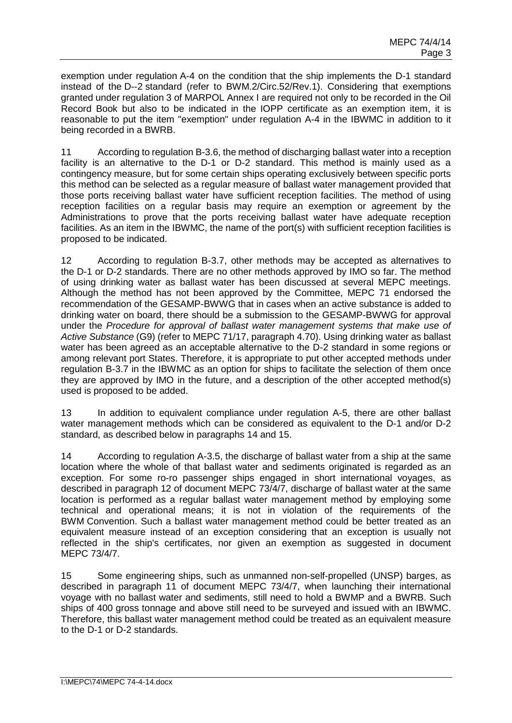exemption under regulation A-4 on the condition that the ship implements the D-1 standard instead of the D--2 standard (refer to BWM.2/Circ.52/Rev.1). Considering that exemptions granted under regulation 3 of MARPOL Annex I are required not only to be recorded in the Oil Record Book but also to be indicated in the IOPP certificate as an exemption item, it is reasonable to put the item "exemption" under regulation A-4 in the IBWMC in addition to it being recorded in a BWRB.

11 According to regulation B-3.6, the method of discharging ballast water into a reception facility is an alternative to the D-1 or D-2 standard. This method is mainly used as a contingency measure, but for some certain ships operating exclusively between specific ports this method can be selected as a regular measure of ballast water management provided that those ports receiving ballast water have sufficient reception facilities. The method of using reception facilities on a regular basis may require an exemption or agreement by the Administrations to prove that the ports receiving ballast water have adequate reception facilities. As an item in the IBWMC, the name of the port(s) with sufficient reception facilities is proposed to be indicated.

12 According to regulation B-3.7, other methods may be accepted as alternatives to the D-1 or D-2 standards. There are no other methods approved by IMO so far. The method of using drinking water as ballast water has been discussed at several MEPC meetings. Although the method has not been approved by the Committee, MEPC 71 endorsed the recommendation of the GESAMP-BWWG that in cases when an active substance is added to drinking water on board, there should be a submission to the GESAMP-BWWG for approval under the *Procedure for approval of ballast water management systems that make use of Active Substance* (G9) (refer to MEPC 71/17, paragraph 4.70). Using drinking water as ballast water has been agreed as an acceptable alternative to the D-2 standard in some regions or among relevant port States. Therefore, it is appropriate to put other accepted methods under regulation B-3.7 in the IBWMC as an option for ships to facilitate the selection of them once they are approved by IMO in the future, and a description of the other accepted method(s) used is proposed to be added.

13 In addition to equivalent compliance under regulation A-5, there are other ballast water management methods which can be considered as equivalent to the D-1 and/or D-2 standard, as described below in paragraphs 14 and 15.

14 According to regulation A-3.5, the discharge of ballast water from a ship at the same location where the whole of that ballast water and sediments originated is regarded as an exception. For some ro-ro passenger ships engaged in short international voyages, as described in paragraph 12 of document MEPC 73/4/7, discharge of ballast water at the same location is performed as a regular ballast water management method by employing some technical and operational means; it is not in violation of the requirements of the BWM Convention. Such a ballast water management method could be better treated as an equivalent measure instead of an exception considering that an exception is usually not reflected in the ship's certificates, nor given an exemption as suggested in document MEPC 73/4/7.

15 Some engineering ships, such as unmanned non-self-propelled (UNSP) barges, as described in paragraph 11 of document MEPC 73/4/7, when launching their international voyage with no ballast water and sediments, still need to hold a BWMP and a BWRB. Such ships of 400 gross tonnage and above still need to be surveyed and issued with an IBWMC. Therefore, this ballast water management method could be treated as an equivalent measure to the D-1 or D-2 standards.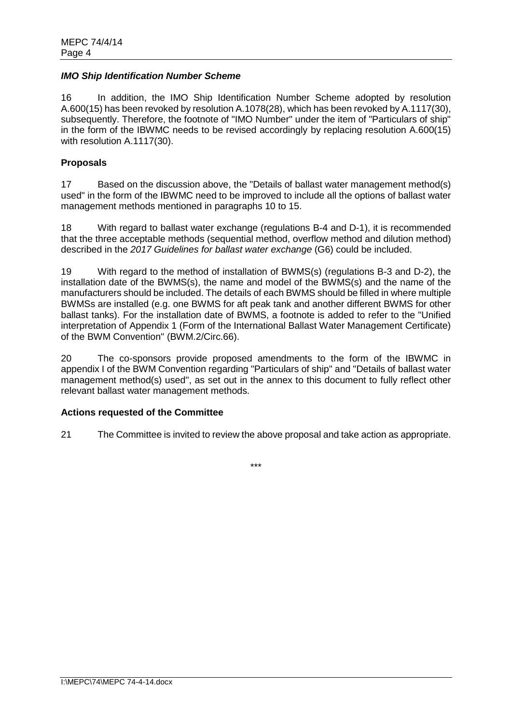#### *IMO Ship Identification Number Scheme*

16 In addition, the IMO Ship Identification Number Scheme adopted by resolution A.600(15) has been revoked by resolution A.1078(28), which has been revoked by A.1117(30), subsequently. Therefore, the footnote of "IMO Number" under the item of "Particulars of ship" in the form of the IBWMC needs to be revised accordingly by replacing resolution A.600(15) with resolution A.1117(30).

#### **Proposals**

17 Based on the discussion above, the "Details of ballast water management method(s) used" in the form of the IBWMC need to be improved to include all the options of ballast water management methods mentioned in paragraphs 10 to 15.

18 With regard to ballast water exchange (regulations B-4 and D-1), it is recommended that the three acceptable methods (sequential method, overflow method and dilution method) described in the *2017 Guidelines for ballast water exchange* (G6) could be included.

19 With regard to the method of installation of BWMS(s) (regulations B-3 and D-2), the installation date of the BWMS(s), the name and model of the BWMS(s) and the name of the manufacturers should be included. The details of each BWMS should be filled in where multiple BWMSs are installed (e.g. one BWMS for aft peak tank and another different BWMS for other ballast tanks). For the installation date of BWMS, a footnote is added to refer to the "Unified interpretation of Appendix 1 (Form of the International Ballast Water Management Certificate) of the BWM Convention" (BWM.2/Circ.66).

20 The co-sponsors provide proposed amendments to the form of the IBWMC in appendix I of the BWM Convention regarding "Particulars of ship" and "Details of ballast water management method(s) used", as set out in the annex to this document to fully reflect other relevant ballast water management methods.

## **Actions requested of the Committee**

21 The Committee is invited to review the above proposal and take action as appropriate.

\*\*\*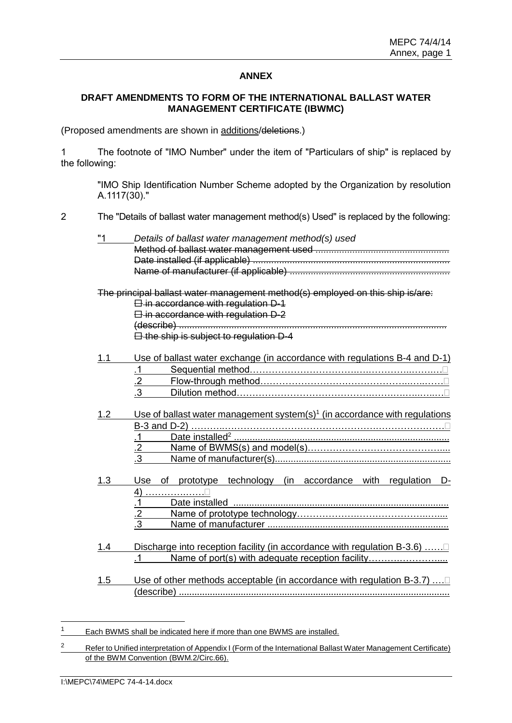#### **ANNEX**

## **DRAFT AMENDMENTS TO FORM OF THE INTERNATIONAL BALLAST WATER MANAGEMENT CERTIFICATE (IBWMC)**

(Proposed amendments are shown in additions/deletions.)

1 The footnote of "IMO Number" under the item of "Particulars of ship" is replaced by the following:

"IMO Ship Identification Number Scheme adopted by the Organization by resolution A.1117(30)."

2 The "Details of ballast water management method(s) Used" is replaced by the following:

|     | Details of ballast water management method(s) used                                     |
|-----|----------------------------------------------------------------------------------------|
|     |                                                                                        |
|     |                                                                                        |
|     |                                                                                        |
|     | The principal ballast water management method(s) employed on this ship is/are:         |
|     | <b>E</b> -in accordance with regulation D-1                                            |
|     | $\boxminus$ in accordance with regulation D-2                                          |
|     |                                                                                        |
|     | E the ship is subject to regulation D-4                                                |
| 1.1 | Use of ballast water exchange (in accordance with regulations B-4 and D-1)             |
|     | $\overline{\mathbf{1}}$                                                                |
|     | $\overline{2}$                                                                         |
|     | $\overline{.3}$                                                                        |
|     |                                                                                        |
| 1.2 | Use of ballast water management system(s) <sup>1</sup> (in accordance with regulations |
|     |                                                                                        |
|     | $\cdot$ 1                                                                              |
|     | $\frac{.2}{.2}$                                                                        |
|     | $\overline{3}$                                                                         |
|     |                                                                                        |
| 1.3 | of prototype technology (in accordance with regulation<br>Use<br>D-                    |
|     |                                                                                        |
|     | $\mathbf{J}$                                                                           |
|     | $\frac{2}{3}$                                                                          |
|     |                                                                                        |
| 1.4 | Discharge into reception facility (in accordance with regulation B-3.6)                |
|     | Name of port(s) with adequate reception facility                                       |
| 1.5 | Use of other methods acceptable (in accordance with regulation B-3.7)                  |
|     |                                                                                        |
|     |                                                                                        |

<sup>&</sup>lt;sup>1</sup> Each BWMS shall be indicated here if more than one BWMS are installed.

<sup>2</sup> Refer to Unified interpretation of Appendix I (Form of the International Ballast Water Management Certificate) of the BWM Convention (BWM.2/Circ.66).